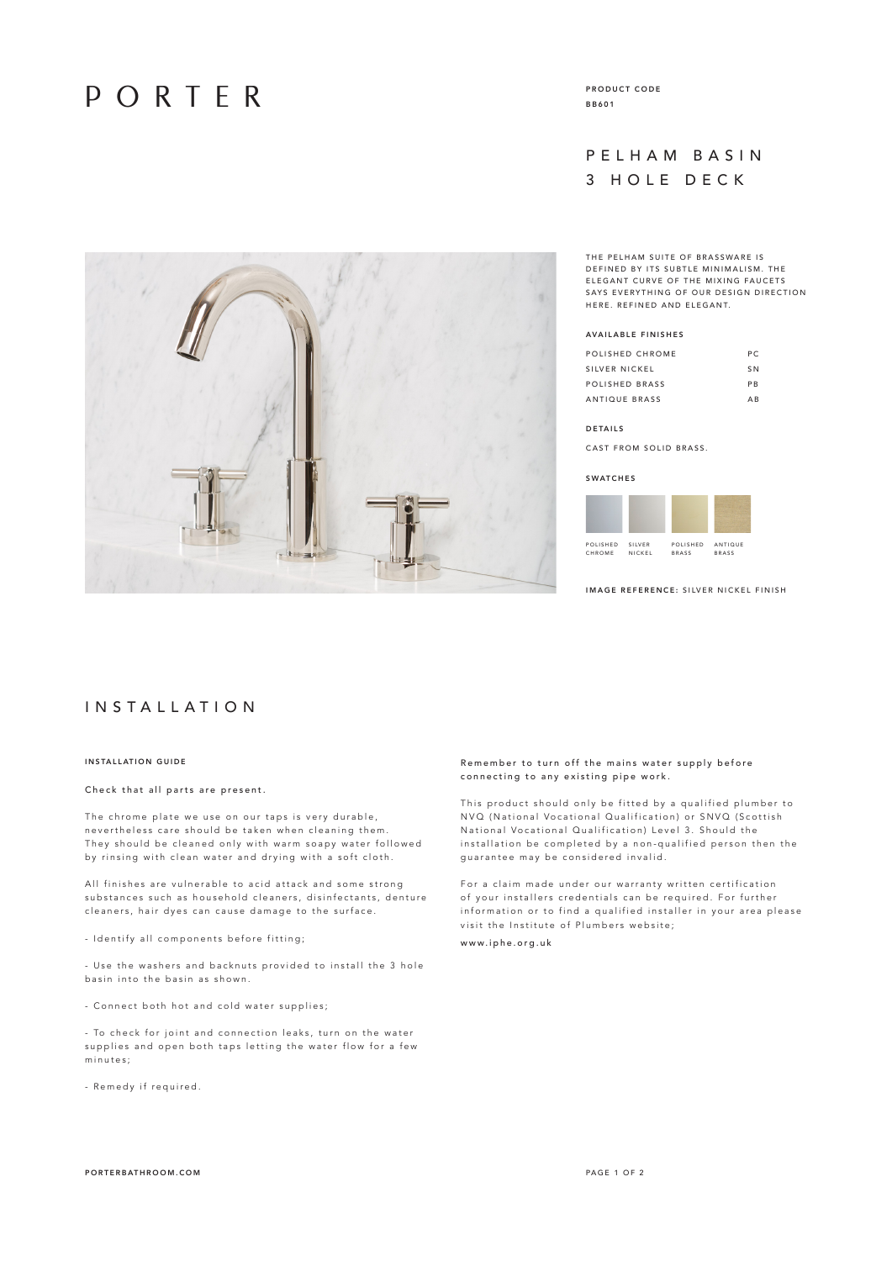## PORTER

PRODUCT CODE BB601

## PELHAM BASIN 3 HOLE DECK

THE PELHAM SUITE OF BRASSWARE IS D E F IN ED BY ITS SUBTLE MINIMALISM. THE ELEGANT CURVE OF THE MIXING FAUCETS S AVS EVERYTHING OF OUR DESIGN DIRECTION HERE. REFINED AND ELEGANT.

## AVAILABLE FINISHES

| POLISHED CHROME | P C            |
|-----------------|----------------|
| SILVER NICKEL   | S <sub>N</sub> |
| POLISHED BRASS  | <b>PR</b>      |
| ANTIQUE BRASS   | ΔR             |

### DETAILS

CAST FROM SOLID BRASS.

#### **SWATCHES**



IMAGE REFERENCE: SILVER NICKEL FINISH



## I N S T A L L A T I O N

## INSTALLATION GUIDE

### Check that all parts are present.

The chrome plate we use on our taps is very durable, nevertheless care should be taken when cleaning them. They should be cleaned only with warm soapy water followed by rinsing with clean water and drying with a soft cloth.

All finishes are vulnerable to acid attack and some strong substances such as household cleaners, disinfectants, denture cleaners, hair dyes can cause damage to the surface.

- Identify all components before fitting;

- Use the washers and backnuts provided to install the 3 hole basin into the basin as shown.

- Connect both hot and cold water supplies;

- To check for joint and connection leaks, turn on the water supplies and open both taps letting the water flow for a few minutes;

- Remedy if required.

## Remember to turn off the mains water supply before connecting to any existing pipe work.

This product should only be fitted by a qualified plumber to N VQ (National Vocational Qualification) or SNVQ (Scottish National Vocational Qualification) Level 3. Should the installation be completed by a non-qualified person then the guarantee may be considered invalid.

For a claim made under our warranty written certification of your installers credentials can be required. For further information or to find a qualified installer in your area please visit the Institute of Plumbers website; www.iphe.org.uk